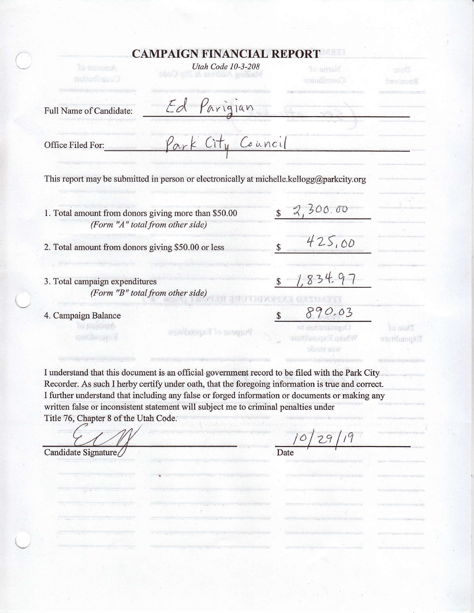### **CAMPAIGN FINANCIAL REPORT**

| Utah Code 10-3-208<br>Jo intional<br><b>County of Monte</b>                               | Navne Pf<br>Contribution | <b>Bista</b><br>1997290499                                                    |
|-------------------------------------------------------------------------------------------|--------------------------|-------------------------------------------------------------------------------|
| Ed Parigian<br>Full Name of Candidate:                                                    |                          |                                                                               |
| Park City Council<br>Office Filed For:                                                    |                          |                                                                               |
| This report may be submitted in person or electronically at michelle.kellogg@parkcity.org |                          |                                                                               |
| 1. Total amount from donors giving more than \$50.00<br>(Form "A" total from other side)  | 2,300.00                 |                                                                               |
| 2. Total amount from donors giving \$50.00 or less                                        |                          | 425,00                                                                        |
| 3. Total campaign expenditures<br>(Form "B" total from other side)                        |                          | 834.97                                                                        |
| 4. Campaign Balance<br>ing the ground<br>ornebeer all to compute                          |                          | 890.03<br>$G \cap S \cap \mathbb{Z}$<br><b>Miles av Langelin</b><br>an tehmut |

I understand that this document is an official government record to be filed with the Park City Recorder. As such I herby certify under oath, that the foregoing information is true and correct. I further understand that including any false or forged information or documents or making any written false or inconsistent statement will subject me to criminal penalties under Title 76, Chapter 8 of the Utah Code.

 $\mathcal{L}^{\prime}$ 

Date

sham saw

Y 17 J

Candidate Signature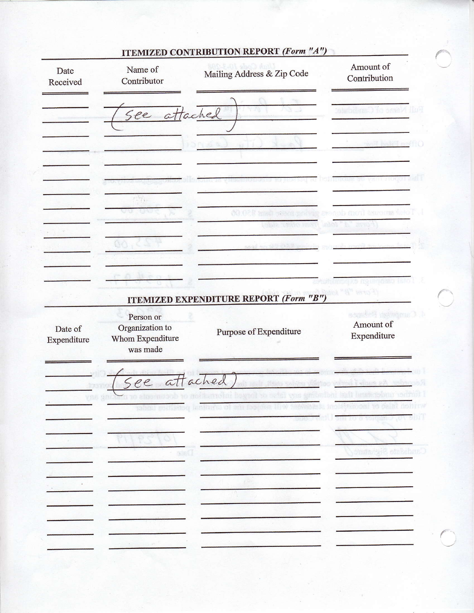| Date<br>Received       | Name of<br>Contributor                                       | Mailing Address & Zip Code                    | Amount of<br>Contribution                         |
|------------------------|--------------------------------------------------------------|-----------------------------------------------|---------------------------------------------------|
|                        | See attached                                                 |                                               | ya y                                              |
|                        |                                                              |                                               | d bahid na                                        |
|                        |                                                              |                                               |                                                   |
|                        | <b>PERTY</b>                                                 |                                               | ash moul inscript the                             |
|                        |                                                              |                                               |                                                   |
|                        |                                                              |                                               |                                                   |
|                        |                                                              | <b>ITEMIZED EXPENDITURE REPORT (Form "B")</b> | YSNO A                                            |
| Date of<br>Expenditure | Person or<br>Organization to<br>Whom Expenditure<br>was made | Purpose of Expenditure                        | <b>Campbell</b> Baker<br>Amount of<br>Expenditure |
|                        | See attached                                                 |                                               | i ainsia a A                                      |
| 738                    | 类                                                            |                                               |                                                   |
|                        |                                                              |                                               |                                                   |
|                        |                                                              |                                               |                                                   |
|                        | $\frac{1}{2}$                                                |                                               | Candidate Signature                               |
|                        |                                                              |                                               |                                                   |
|                        |                                                              |                                               |                                                   |

# **ITEMIZED CONTRIBUTION REPORT (Form "A")**